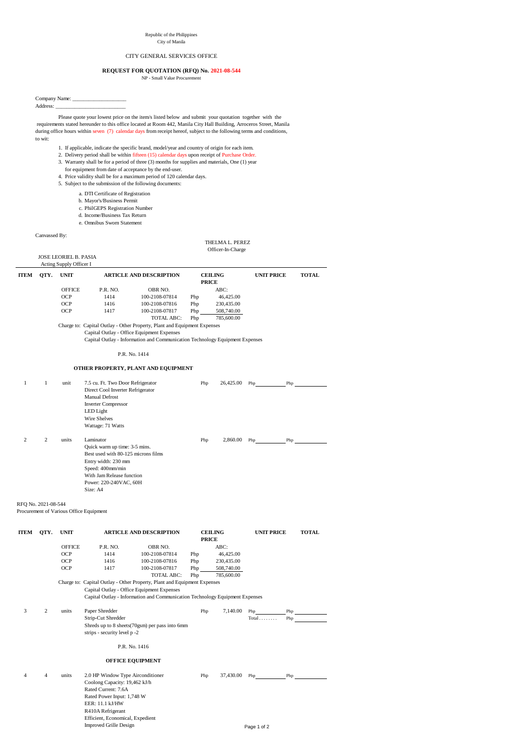Please quote your lowest price on the item/s listed below and submit your quotation together with the requirements stated hereunder to this office located at Room 442, Manila City Hall Building, Arroceros Street, Manila during office hours within seven (7) calendar days from receipt hereof, subject to the following terms and conditions, to wit:

- 1. If applicable, indicate the specific brand, model/year and country of origin for each item.
- 2. Delivery period shall be within fifteen (15) calendar days upon receipt of Purchase Order.
- 3. Warranty shall be for a period of three (3) months for supplies and materials, One (1) year for equipment from date of acceptance by the end-user.
- 4. Price validity shall be for a maximum period of 120 calendar days.
- 5. Subject to the submission of the following documents:
	- a. DTI Certificate of Registration
	- b. Mayor's/Business Permit
	- c. PhilGEPS Registration Number
	- d. Income/Business Tax Return
	- e. Omnibus Sworn Statement

## Canvassed By:

THELMA L. PEREZ

Officer-In-Charge

| <b>JOSE LEORIEL B. PASIA</b> |
|------------------------------|
| Acting Supply Officer I      |

| <b>ITEM</b>         | QTY.           | <b>UNIT</b>   |                                                                              | <b>ARTICLE AND DESCRIPTION</b> |     | <b>CEILING</b><br><b>PRICE</b> | <b>UNIT PRICE</b> | <b>TOTAL</b> |
|---------------------|----------------|---------------|------------------------------------------------------------------------------|--------------------------------|-----|--------------------------------|-------------------|--------------|
|                     |                | <b>OFFICE</b> | P.R. NO.                                                                     | OBR NO.                        |     | ABC:                           |                   |              |
|                     |                | <b>OCP</b>    | 1414                                                                         | 100-2108-07814                 | Php | 46,425.00                      |                   |              |
|                     |                | <b>OCP</b>    | 1416                                                                         | 100-2108-07816                 | Php | 230,435.00                     |                   |              |
|                     |                | <b>OCP</b>    | 1417                                                                         | 100-2108-07817                 | Php | 508,740.00                     |                   |              |
|                     |                |               |                                                                              | <b>TOTAL ABC:</b>              | Php | 785,600.00                     |                   |              |
|                     |                |               | Charge to: Capital Outlay - Other Property, Plant and Equipment Expenses     |                                |     |                                |                   |              |
|                     |                |               | Capital Outlay - Office Equipment Expenses                                   |                                |     |                                |                   |              |
|                     |                |               | Capital Outlay - Information and Communication Technology Equipment Expenses |                                |     |                                |                   |              |
|                     |                |               | P.R. No. 1414                                                                |                                |     |                                |                   |              |
|                     |                |               | OTHER PROPERTY, PLANT AND EQUIPMENT                                          |                                |     |                                |                   |              |
| $\mathbf{1}$        | $\mathbf{1}$   | unit          | 7.5 cu. Ft. Two Door Refrigerator<br>Direct Cool Inverter Refrigerator       |                                | Php | 26,425.00                      | Php<br>Php        |              |
|                     |                |               | Manual Defrost                                                               |                                |     |                                |                   |              |
|                     |                |               | <b>Inverter Compressor</b>                                                   |                                |     |                                |                   |              |
|                     |                |               | LED Light                                                                    |                                |     |                                |                   |              |
|                     |                |               | Wire Shelves                                                                 |                                |     |                                |                   |              |
|                     |                |               | Wattage: 71 Watts                                                            |                                |     |                                |                   |              |
| $\overline{c}$      | $\overline{c}$ | units         | Laminator                                                                    |                                | Php | 2,860.00                       | Php<br><b>Php</b> |              |
|                     |                |               | Quick warm up time: 3-5 mins.                                                |                                |     |                                |                   |              |
|                     |                |               | Best used with 80-125 microns films                                          |                                |     |                                |                   |              |
|                     |                |               | Entry width: 230 mm                                                          |                                |     |                                |                   |              |
|                     |                |               | Speed: 400mm/min                                                             |                                |     |                                |                   |              |
|                     |                |               | With Jam Release function                                                    |                                |     |                                |                   |              |
|                     |                |               | Power: 220-240VAC, 60H                                                       |                                |     |                                |                   |              |
|                     |                |               | Size: A4                                                                     |                                |     |                                |                   |              |
| RFQ No. 2021-08-544 |                |               |                                                                              |                                |     |                                |                   |              |

Procurement of Various Office Equipment RFQ No. 2021-08-544

| <b>ITEM</b> | QTY.<br><b>UNIT</b> |               | <b>ARTICLE AND DESCRIPTION</b>                                                                                         |                   | <b>CEILING</b><br><b>PRICE</b> |            | <b>UNIT PRICE</b>     |                    | <b>TOTAL</b> |
|-------------|---------------------|---------------|------------------------------------------------------------------------------------------------------------------------|-------------------|--------------------------------|------------|-----------------------|--------------------|--------------|
|             |                     | <b>OFFICE</b> | P.R. NO.                                                                                                               | OBR NO.           |                                | ABC:       |                       |                    |              |
|             |                     | <b>OCP</b>    | 1414                                                                                                                   | 100-2108-07814    | Php                            | 46,425.00  |                       |                    |              |
|             |                     | <b>OCP</b>    | 1416                                                                                                                   | 100-2108-07816    | Php                            | 230,435.00 |                       |                    |              |
|             |                     | <b>OCP</b>    | 1417                                                                                                                   | 100-2108-07817    | Php                            | 508,740.00 |                       |                    |              |
|             |                     |               |                                                                                                                        | <b>TOTAL ABC:</b> | Php                            | 785,600.00 |                       |                    |              |
|             |                     |               | Charge to: Capital Outlay - Other Property, Plant and Equipment Expenses<br>Capital Outlay - Office Equipment Expenses |                   |                                |            |                       |                    |              |
|             |                     |               | Capital Outlay - Information and Communication Technology Equipment Expenses                                           |                   |                                |            |                       |                    |              |
| 3           | 2                   | units         | Paper Shredder                                                                                                         |                   | Php                            | 7,140.00   | Php                   | $Php$ <sub>_</sub> |              |
|             |                     |               | Strip-Cut Shredder                                                                                                     |                   |                                |            | $Total \ldots \ldots$ | Php                |              |
|             |                     |               | Shreds up to 8 sheets (70gsm) per pass into 6mm<br>strips - security level p -2                                        |                   |                                |            |                       |                    |              |
|             |                     |               | P.R. No. 1416                                                                                                          |                   |                                |            |                       |                    |              |
|             |                     |               | <b>OFFICE EQUIPMENT</b>                                                                                                |                   |                                |            |                       |                    |              |
| 4           | $\overline{4}$      | units         | 2.0 HP Window Type Airconditioner                                                                                      |                   | Php                            | 37,430.00  | Php                   | Php                |              |
|             |                     |               | Coolong Capacity: 19,462 kJ/h                                                                                          |                   |                                |            |                       |                    |              |
|             |                     |               | Rated Current: 7.6A                                                                                                    |                   |                                |            |                       |                    |              |
|             |                     |               | Rated Power Input: 1,748 W                                                                                             |                   |                                |            |                       |                    |              |
|             |                     |               | EER: 11.1 kJ/HW                                                                                                        |                   |                                |            |                       |                    |              |
|             |                     |               | R410A Refrigerant                                                                                                      |                   |                                |            |                       |                    |              |
|             |                     |               | Efficient, Economical, Expedient                                                                                       |                   |                                |            |                       |                    |              |
|             |                     |               | <b>Improved Grille Design</b>                                                                                          |                   |                                |            | Page 1 of 2           |                    |              |

Republic of the Philippines

City of Manila

## CITY GENERAL SERVICES OFFICE

## **REQUEST FOR QUOTATION (RFQ) No. 2021-08-544**

NP - Small Value Procurement

Company Name: \_\_\_\_\_\_\_\_\_\_\_\_\_\_\_\_\_\_\_\_ Address: